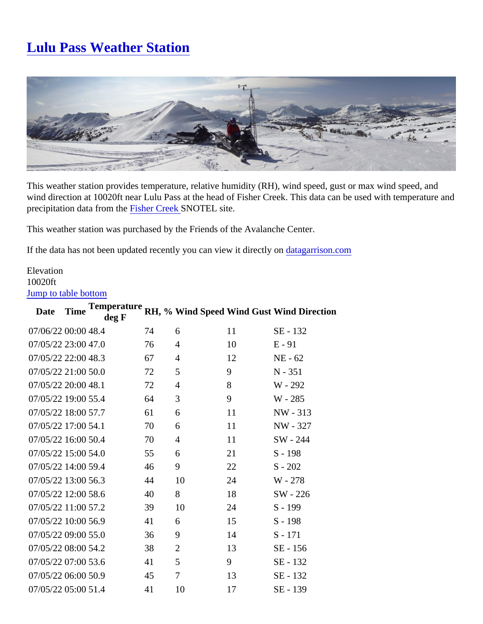This weather station provides temperature, relative humidity (RH), wind speed, gust or max wind speed, and wind direction at 10020ft near Lulu Pass at the head of Fisher Creek. This data can be used with temperature precipitation data from the isher Creek SNOTEL site.

This weather station was purchased by the Friends of the Avalanche Center.

If the data has not been updated recently you can view it directly tagarrison.com

## **Elevation** 10020ft Jump to table bottom

| Date              | Time | Temperature<br>deg F |    |                |    | RH, % Wind SpeedWind Gust Wind Direction |
|-------------------|------|----------------------|----|----------------|----|------------------------------------------|
| 07/06/2200:0048.4 |      |                      | 74 | 6              | 11 | SE - 132                                 |
| 07/05/2223:0047.0 |      |                      | 76 | 4              | 10 | $E - 91$                                 |
| 07/05/2222:0048.3 |      |                      | 67 | 4              | 12 | <b>NE - 62</b>                           |
| 07/05/2221:0050.0 |      |                      | 72 | 5              | 9  | N - 351                                  |
| 07/05/2220:0048.1 |      |                      | 72 | 4              | 8  | W - 292                                  |
| 07/05/2219:0055.4 |      |                      | 64 | 3              | 9  | W - 285                                  |
| 07/05/2218:0057.7 |      |                      | 61 | 6              | 11 | NW - 313                                 |
| 07/05/2217:0054.1 |      |                      | 70 | 6              | 11 | NW - 327                                 |
| 07/05/2216:0050.4 |      |                      | 70 | 4              | 11 | SW - 244                                 |
| 07/05/2215:0054.0 |      |                      | 55 | 6              | 21 | $S - 198$                                |
| 07/05/2214:0059.4 |      |                      | 46 | 9              | 22 | $S - 202$                                |
| 07/05/2213:0056.3 |      |                      | 44 | 10             | 24 | W - 278                                  |
| 07/05/2212:0058.6 |      |                      | 40 | 8              | 18 | SW - 226                                 |
| 07/05/2211:0057.2 |      |                      | 39 | 10             | 24 | $S - 199$                                |
| 07/05/2210:0056.9 |      |                      | 41 | 6              | 15 | $S - 198$                                |
| 07/05/2209:0055.0 |      |                      | 36 | 9              | 14 | $S - 171$                                |
| 07/05/2208:0054.2 |      |                      | 38 | $\overline{2}$ | 13 | SE - 156                                 |
| 07/05/2207:0053.6 |      |                      | 41 | 5              | 9  | SE - 132                                 |
| 07/05/2206:0050.9 |      |                      | 45 | 7              | 13 | SE - 132                                 |
| 07/05/2205:0051.4 |      |                      | 41 | 10             | 17 | SE - 139                                 |